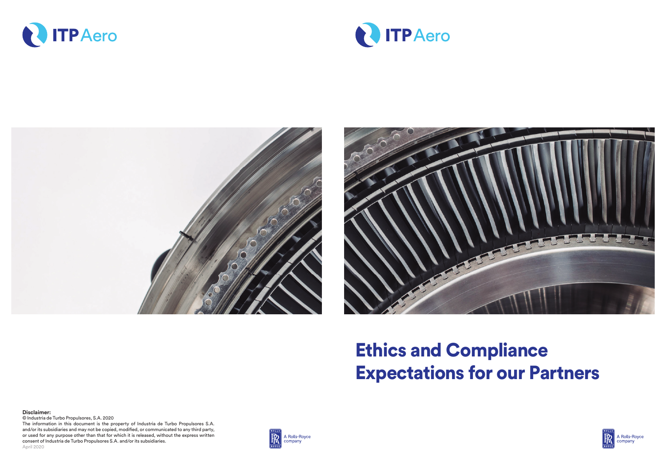





## Ethics and Compliance Expectations for our Partners

**Disclaimer:** © Industria de Turbo Propulsores, S.A. 2020 The information in this document is the property of Industria de Turbo Propulsores S.A. and/or its subsidiaries and may not be copied, modified, or communicated to any third party, or used for any purpose other than that for which it is released, without the express written consent of Industria de Turbo Propulsores S.A. and/or its subsidiaries. April 2020